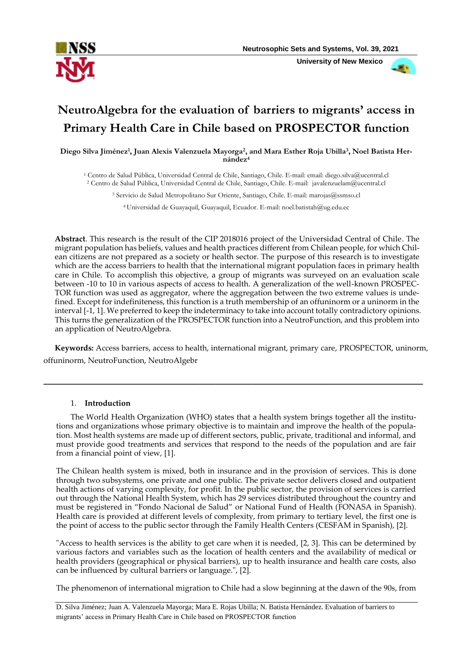

 **University of New Mexico**



# **NeutroAlgebra for the evaluation of barriers to migrants' access in Primary Health Care in Chile based on PROSPECTOR function**

**Diego Silva Jiménez<sup>1</sup> , Juan Alexis Valenzuela Mayorga<sup>2</sup> , and Mara Esther Roja Ubilla<sup>3</sup> , Noel Batista Hernández<sup>4</sup>**

<sup>1</sup> Centro de Salud Pública, Universidad Central de Chile, Santiago, Chile. E-mail: email: [diego.silva@ucentral.cl](mailto:diego.silva@ucentral.cl) <sup>2</sup> Centro de Salud Pública, Universidad Central de Chile, Santiago, Chile. E-mail: [javalenzuelam@ucentral.cl](mailto:javalenzuelam@ucentral.cl)

<sup>3</sup> Servicio de Salud Metropolitano Sur Oriente, Santiago, Chile. E-mail[: marojas@ssmso.cl](mailto:marojas@ssmso.cl)

<sup>4</sup>Universidad de Guayaquil, Guayaquil, Ecuador. E-mail: [noel.batistah@ug.edu.ec](mailto:noel.batistah@ug.edu.ec)

**Abstract**. This research is the result of the CIP 2018016 project of the Universidad Central of Chile. The migrant population has beliefs, values and health practices different from Chilean people, for which Chilean citizens are not prepared as a society or health sector. The purpose of this research is to investigate which are the access barriers to health that the international migrant population faces in primary health care in Chile. To accomplish this objective, a group of migrants was surveyed on an evaluation scale between -10 to 10 in various aspects of access to health. A generalization of the well-known PROSPEC-TOR function was used as aggregator, where the aggregation between the two extreme values is undefined. Except for indefiniteness, this function is a truth membership of an offuninorm or a uninorm in the interval [-1, 1]. We preferred to keep the indeterminacy to take into account totally contradictory opinions. This turns the generalization of the PROSPECTOR function into a NeutroFunction, and this problem into an application of NeutroAlgebra.

**Keywords:** Access barriers, access to health, international migrant, primary care, PROSPECTOR, uninorm, offuninorm, NeutroFunction, NeutroAlgebr

**\_\_\_\_\_\_\_\_\_\_\_\_\_\_\_\_\_\_\_\_\_\_\_\_\_\_\_\_\_\_\_\_\_\_\_\_\_\_\_\_\_\_\_\_\_\_\_\_\_\_\_\_\_\_\_\_\_\_\_\_\_\_\_\_\_\_\_\_\_\_\_\_\_\_\_\_\_\_\_\_\_\_\_\_\_\_**

## 1. **Introduction**

The World Health Organization (WHO) states that a health system brings together all the institutions and organizations whose primary objective is to maintain and improve the health of the population. Most health systems are made up of different sectors, public, private, traditional and informal, and must provide good treatments and services that respond to the needs of the population and are fair from a financial point of view, [\[1\]](#page-6-0).

The Chilean health system is mixed, both in insurance and in the provision of services. This is done through two subsystems, one private and one public. The private sector delivers closed and outpatient health actions of varying complexity, for profit. In the public sector, the provision of services is carried out through the National Health System, which has 29 services distributed throughout the country and must be registered in "Fondo Nacional de Salud" or National Fund of Health (FONASA in Spanish). Health care is provided at different levels of complexity, from primary to tertiary level, the first one is the point of access to the public sector through the Family Health Centers (CESFAM in Spanish), [\[2\]](#page-6-1).

"Access to health services is the ability to get care when it is needed, [\[2,](#page-6-1) [3\]](#page-6-2). This can be determined by various factors and variables such as the location of health centers and the availability of medical or health providers (geographical or physical barriers), up to health insurance and health care costs, also can be influenced by cultural barriers or language.", [\[2\]](#page-6-1).

The phenomenon of international migration to Chile had a slow beginning at the dawn of the 90s, from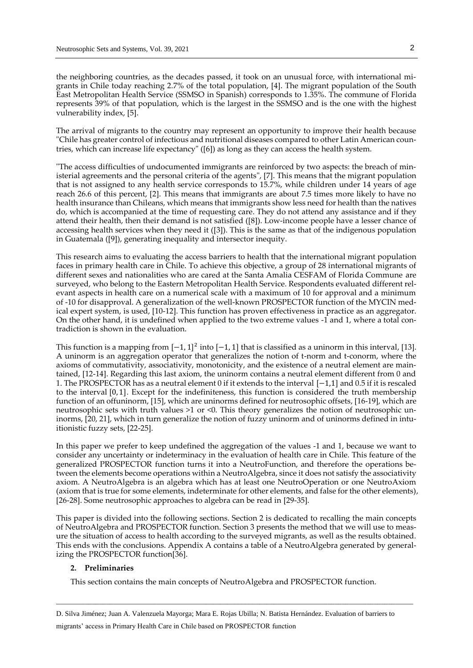the neighboring countries, as the decades passed, it took on an unusual force, with international migrants in Chile today reaching 2.7% of the total population, [\[4\]](#page-6-3). The migrant population of the South East Metropolitan Health Service (SSMSO in Spanish) corresponds to 1.35%. The commune of Florida represents 39% of that population, which is the largest in the SSMSO and is the one with the highest vulnerability index, [\[5\]](#page-6-4).

The arrival of migrants to the country may represent an opportunity to improve their health because "Chile has greater control of infectious and nutritional diseases compared to other Latin American countries, which can increase life expectancy" ([\[6\]](#page-7-0)) as long as they can access the health system.

"The access difficulties of undocumented immigrants are reinforced by two aspects: the breach of ministerial agreements and the personal criteria of the agents", [\[7\]](#page-7-1). This means that the migrant population that is not assigned to any health service corresponds to 15.7%, while children under 14 years of age reach 26.6 of this percent, [\[2\]](#page-6-1). This means that immigrants are about 7.5 times more likely to have no health insurance than Chileans, which means that immigrants show less need for health than the natives do, which is accompanied at the time of requesting care. They do not attend any assistance and if they attend their health, then their demand is not satisfied ([\[8\]](#page-7-2)). Low-income people have a lesser chance of accessing health services when they need it ([\[3\]](#page-6-2)). This is the same as that of the indigenous population in Guatemala ([\[9\]](#page-7-3)), generating inequality and intersector inequity.

This research aims to evaluating the access barriers to health that the international migrant population faces in primary health care in Chile. To achieve this objective, a group of 28 international migrants of different sexes and nationalities who are cared at the Santa Amalia CESFAM of Florida Commune are surveyed, who belong to the Eastern Metropolitan Health Service. Respondents evaluated different relevant aspects in health care on a numerical scale with a maximum of 10 for approval and a minimum of -10 for disapproval. A generalization of the well-known PROSPECTOR function of the MYCIN medical expert system, is used, [\[10-12\]](#page-7-4). This function has proven effectiveness in practice as an aggregator. On the other hand, it is undefined when applied to the two extreme values -1 and 1, where a total contradiction is shown in the evaluation.

This function is a mapping from  $[-1, 1]^2$  into  $[-1, 1]$  that is classified as a uninorm in this interval, [\[13\]](#page-7-5). A uninorm is an aggregation operator that generalizes the notion of t-norm and t-conorm, where the axioms of commutativity, associativity, monotonicity, and the existence of a neutral element are maintained, [\[12-14\]](#page-7-6). Regarding this last axiom, the uninorm contains a neutral element different from 0 and 1. The PROSPECTOR has as a neutral element 0 if it extends to the interval [−1,1] and 0.5 if it is rescaled to the interval [0, 1]. Except for the indefiniteness, this function is considered the truth membership function of an offuninorm, [\[15\]](#page-7-7), which are uninorms defined for neutrosophic offsets, [\[16-19\]](#page-7-8), which are neutrosophic sets with truth values >1 or <0. This theory generalizes the notion of neutrosophic uninorms, [\[20,](#page-7-9) [21\]](#page-7-10), which in turn generalize the notion of fuzzy uninorm and of uninorms defined in intuitionistic fuzzy sets, [\[22-25\]](#page-7-11).

In this paper we prefer to keep undefined the aggregation of the values -1 and 1, because we want to consider any uncertainty or indeterminacy in the evaluation of health care in Chile. This feature of the generalized PROSPECTOR function turns it into a NeutroFunction, and therefore the operations between the elements become operations within a NeutroAlgebra, since it does not satisfy the associativity axiom. A NeutroAlgebra is an algebra which has at least one NeutroOperation or one NeutroAxiom (axiom that is true for some elements, indeterminate for other elements, and false for the other elements), [\[26-28\]](#page-8-0). Some neutrosophic approaches to algebra can be read in [\[29-35\]](#page-8-1).

This paper is divided into the following sections. Section 2 is dedicated to recalling the main concepts of NeutroAlgebra and PROSPECTOR function. Section 3 presents the method that we will use to measure the situation of access to health according to the surveyed migrants, as well as the results obtained. This ends with the conclusions. Appendix A contains a table of a NeutroAlgebra generated by generalizing the PROSPECTOR function[\[36\]](#page-8-2).

### **2. Preliminaries**

This section contains the main concepts of NeutroAlgebra and PROSPECTOR function.

D. Silva Jiménez; Juan A. Valenzuela Mayorga; Mara E. Rojas Ubilla; N. Batista Hernández. Evaluation of barriers to migrants' access in Primary Health Care in Chile based on PROSPECTOR function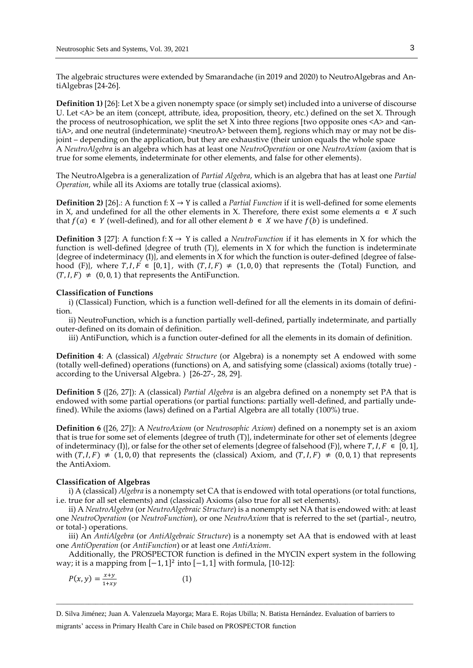The algebraic structures were extended by Smarandache (in 2019 and 2020) to NeutroAlgebras and AntiAlgebras [24-26].

**Definition 1)** [26]: Let X be a given nonempty space (or simply set) included into a universe of discourse U. Let <A> be an item (concept, attribute, idea, proposition, theory, etc.) defined on the set X. Through the process of neutrosophication, we split the set X into three regions [two opposite ones  $\langle A \rangle$  and  $\langle A \rangle$ tiA>, and one neutral (indeterminate)  $\langle$  neutroA> between them], regions which may or may not be disjoint – depending on the application, but they are exhaustive (their union equals the whole space A *NeutroAlgebra* is an algebra which has at least one *NeutroOperation* or one *NeutroAxiom* (axiom that is true for some elements, indeterminate for other elements, and false for other elements).

The NeutroAlgebra is a generalization of *Partial Algebra*, which is an algebra that has at least one *Partial Operation*, while all its Axioms are totally true (classical axioms).

**Definition 2)** [26].: A function f:  $X \rightarrow Y$  is called a *Partial Function* if it is well-defined for some elements in X, and undefined for all the other elements in X. Therefore, there exist some elements  $a \in X$  such that  $f(a) ∈ Y$  (well-defined), and for all other element  $b ∈ X$  we have  $f(b)$  is undefined.

**Definition 3** [\[27\]](#page-8-3): A function f:  $X \rightarrow Y$  is called a *NeutroFunction* if it has elements in X for which the function is well-defined {degree of truth  $(T)$ }, elements in X for which the function is indeterminate {degree of indeterminacy  $(I)$ }, and elements in X for which the function is outer-defined {degree of falsehood (F), where  $T, I, F \in [0, 1]$ , with  $(T, I, F) \neq (1, 0, 0)$  that represents the (Total) Function, and  $(T, I, F) \neq (0, 0, 1)$  that represents the AntiFunction.

### **Classification of Functions**

i) (Classical) Function, which is a function well-defined for all the elements in its domain of definition.

ii) NeutroFunction, which is a function partially well-defined, partially indeterminate, and partially outer-defined on its domain of definition.

iii) AntiFunction, which is a function outer-defined for all the elements in its domain of definition.

**Definition 4**: A (classical) *Algebraic Structure* (or Algebra) is a nonempty set A endowed with some (totally well-defined) operations (functions) on A, and satisfying some (classical) axioms (totally true) according to the Universal Algebra. ) [26-27-, 28, 29].

**Definition 5** ([\[26,](#page-8-0) [27\]](#page-8-3)): A (classical) *Partial Algebra* is an algebra defined on a nonempty set PA that is endowed with some partial operations (or partial functions: partially well-defined, and partially undefined). While the axioms (laws) defined on a Partial Algebra are all totally (100%) true.

**Definition 6** ([\[26,](#page-8-0) [27\]](#page-8-3)): A *NeutroAxiom* (or *Neutrosophic Axiom*) defined on a nonempty set is an axiom that is true for some set of elements {degree of truth (T)}, indeterminate for other set of elements {degree of indeterminacy (I)}, or false for the other set of elements {degree of falsehood (F)}, where  $T, I, F \in [0, 1]$ , with  $(T, I, F) \neq (1, 0, 0)$  that represents the (classical) Axiom, and  $(T, I, F) \neq (0, 0, 1)$  that represents the AntiAxiom.

#### **Classification of Algebras**

i) A (classical) *Algebra* is a nonempty set CA that is endowed with total operations (or total functions, i.e. true for all set elements) and (classical) Axioms (also true for all set elements).

ii) A *NeutroAlgebra* (or *NeutroAlgebraic Structure*) is a nonempty set NA that is endowed with: at least one *NeutroOperation* (or *NeutroFunction*), or one *NeutroAxiom* that is referred to the set (partial-, neutro, or total-) operations.

iii) An *AntiAlgebra* (or *AntiAlgebraic Structure*) is a nonempty set AA that is endowed with at least one *AntiOperation* (or *AntiFunction*) or at least one *AntiAxiom*.

Additionally, the PROSPECTOR function is defined in the MYCIN expert system in the following way; it is a mapping from  $[-1, 1]^2$  into  $[-1, 1]$  with formula, [\[10-12\]](#page-7-4):

\_\_\_\_\_\_\_\_\_\_\_\_\_\_\_\_\_\_\_\_\_\_\_\_\_\_\_\_\_\_\_\_\_\_\_\_\_\_\_\_\_\_\_\_\_\_\_\_\_\_\_\_\_\_\_\_\_\_\_\_\_\_\_\_\_\_\_\_\_\_\_\_\_\_\_\_\_\_\_\_\_\_\_\_\_\_\_\_\_\_\_\_\_\_\_\_\_\_\_\_

$$
P(x, y) = \frac{x+y}{1+xy} \tag{1}
$$

D. Silva Jiménez; Juan A. Valenzuela Mayorga; Mara E. Rojas Ubilla; N. Batista Hernández. Evaluation of barriers to

migrants' access in Primary Health Care in Chile based on PROSPECTOR function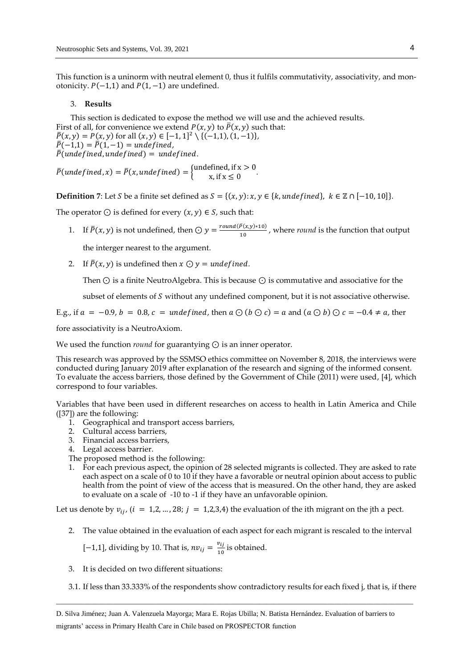This function is a uninorm with neutral element 0, thus it fulfils commutativity, associativity, and monotonicity.  $P(-1,1)$  and  $P(1,-1)$  are undefined.

#### 3. **Results**

This section is dedicated to expose the method we will use and the achieved results. First of all, for convenience we extend  $P(x, y)$  to  $\overline{P}(x, y)$  such that:  $\overline{P}(x, y) = P(x, y)$  for all  $(x, y) \in [-1, 1]^2 \setminus \{(-1, 1), (1, -1)\},$  $\bar{P}(-1,1) = \bar{P}(1,-1) =$  undefined,  $\bar{P}$ (undefined, undefined) = undefined.

 $\overline{P}$ (undefined, x) =  $\overline{P}(x, undefined) = \begin{cases}$ undefined, if x > 0  $x, \text{if } x \leq 0$ 

**Definition** 7: Let *S* be a finite set defined as  $S = \{(x, y): x, y \in \{k, undefined\}, k \in \mathbb{Z} \cap [-10, 10]\}.$ 

The operator  $\odot$  is defined for every  $(x, y) \in S$ , such that:

1. If  $\bar{P}(x, y)$  is not undefined, then  $\bigcirc y = \frac{round(\bar{P}(x, y) * 10)}{10}$  $\frac{1}{10}$ , where *round* is the function that output

the interger nearest to the argument.

2. If  $\overline{P}(x, y)$  is undefined then  $x \odot y =$  undefined.

Then ⊙ is a finite NeutroAlgebra. This is because ⊙ is commutative and associative for the

subset of elements of  $S$  without any undefined component, but it is not associative otherwise.

E.g., if  $a = -0.9$ ,  $b = 0.8$ ,  $c =$  undefined, then  $a \odot (b \odot c) = a$  and  $(a \odot b) \odot c = -0.4 \neq a$ , then

fore associativity is a NeutroAxiom.

We used the function *round* for guarantying ⊙ is an inner operator.

This research was approved by the SSMSO ethics committee on November 8, 2018, the interviews were conducted during January 2019 after explanation of the research and signing of the informed consent. To evaluate the access barriers, those defined by the Government of Chile (2011) were used, [\[4\]](#page-6-3), which correspond to four variables.

Variables that have been used in different researches on access to health in Latin America and Chile ([\[37\]](#page-8-4)) are the following:

- 1. Geographical and transport access barriers,
- 2. Cultural access barriers,
- 3. Financial access barriers,
- 4. Legal access barrier.
- The proposed method is the following:
- 1. For each previous aspect, the opinion of 28 selected migrants is collected. They are asked to rate each aspect on a scale of 0 to 10 if they have a favorable or neutral opinion about access to public health from the point of view of the access that is measured. On the other hand, they are asked to evaluate on a scale of -10 to -1 if they have an unfavorable opinion.

Let us denote by  $v_{ij}$ ,  $(i = 1,2,...,28; j = 1,2,3,4)$  the evaluation of the ith migrant on the jth a pect.

2. The value obtained in the evaluation of each aspect for each migrant is rescaled to the interval

$$
[-1,1]
$$
, dividing by 10. That is,  $nv_{ij} = \frac{v_{ij}}{10}$  is obtained.

- 3. It is decided on two different situations:
- 3.1. If less than 33.333% of the respondents show contradictory results for each fixed j, that is, if there

D. Silva Jiménez; Juan A. Valenzuela Mayorga; Mara E. Rojas Ubilla; N. Batista Hernández. Evaluation of barriers to migrants' access in Primary Health Care in Chile based on PROSPECTOR function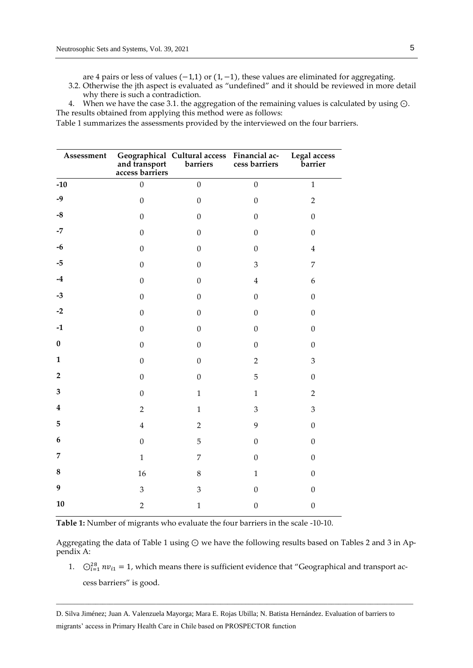are 4 pairs or less of values (−1,1) or (1,−1), these values are eliminated for aggregating.

- 3.2. Otherwise the jth aspect is evaluated as "undefined" and it should be reviewed in more detail why there is such a contradiction.
- 4. When we have the case 3.1. the aggregation of the remaining values is calculated by using ⊙. The results obtained from applying this method were as follows:

Table 1 summarizes the assessments provided by the interviewed on the four barriers.

| Assessment       | and transport<br>access barriers | Geographical Cultural access Financial ac-<br>and transport barriers cess barriers |                  | Legal access<br>barrier |  |
|------------------|----------------------------------|------------------------------------------------------------------------------------|------------------|-------------------------|--|
| $-10$            | $\mathbf{0}$                     | $\boldsymbol{0}$                                                                   | $\boldsymbol{0}$ | $\mathbf 1$             |  |
| $-9$             | $\boldsymbol{0}$                 | $\boldsymbol{0}$                                                                   | $\boldsymbol{0}$ | $\overline{2}$          |  |
| $\textbf{-8}$    | $\boldsymbol{0}$                 | $\boldsymbol{0}$                                                                   | $\boldsymbol{0}$ | $\boldsymbol{0}$        |  |
| $-7$             | $\boldsymbol{0}$                 | $\boldsymbol{0}$                                                                   | $\boldsymbol{0}$ | $\boldsymbol{0}$        |  |
| $-6$             | $\boldsymbol{0}$                 | $\boldsymbol{0}$                                                                   | $\boldsymbol{0}$ | $\overline{\mathbf{4}}$ |  |
| $-5$             | $\boldsymbol{0}$                 | $\boldsymbol{0}$                                                                   | 3                | $\overline{7}$          |  |
| $-4$             | $\boldsymbol{0}$                 | $\boldsymbol{0}$                                                                   | $\bf 4$          | 6                       |  |
| $-3$             | $\boldsymbol{0}$                 | $\boldsymbol{0}$                                                                   | $\boldsymbol{0}$ | $\boldsymbol{0}$        |  |
| $-2$             | $\boldsymbol{0}$                 | $\boldsymbol{0}$                                                                   | $\boldsymbol{0}$ | $\boldsymbol{0}$        |  |
| $-1$             | $\boldsymbol{0}$                 | $\boldsymbol{0}$                                                                   | $\boldsymbol{0}$ | $\boldsymbol{0}$        |  |
| $\pmb{0}$        | $\boldsymbol{0}$                 | $\boldsymbol{0}$                                                                   | $\boldsymbol{0}$ | $\boldsymbol{0}$        |  |
| $\mathbf{1}$     | $\boldsymbol{0}$                 | $\boldsymbol{0}$                                                                   | $\overline{2}$   | $\mathfrak{Z}$          |  |
| $\mathbf 2$      | $\boldsymbol{0}$                 | $\boldsymbol{0}$                                                                   | 5                | $\boldsymbol{0}$        |  |
| $\mathbf{3}$     | $\boldsymbol{0}$                 | $\mathbf{1}$                                                                       | $\mathbf{1}$     | $\overline{2}$          |  |
| $\boldsymbol{4}$ | $\overline{2}$                   | $\mathbf{1}$                                                                       | $\mathfrak{Z}$   | 3                       |  |
| $\bf 5$          | $\overline{\mathbf{4}}$          | $\overline{2}$                                                                     | 9                | $\boldsymbol{0}$        |  |
| $\boldsymbol{6}$ | $\boldsymbol{0}$                 | 5                                                                                  | $\boldsymbol{0}$ | $\boldsymbol{0}$        |  |
| $\overline{7}$   | $\mathbf{1}$                     | $\overline{7}$                                                                     | $\boldsymbol{0}$ | $\boldsymbol{0}$        |  |
| ${\bf 8}$        | 16                               | $\,8\,$                                                                            | $\mathbf{1}$     | $\boldsymbol{0}$        |  |
| $\boldsymbol{9}$ | 3                                | 3                                                                                  | $\boldsymbol{0}$ | $\boldsymbol{0}$        |  |
| 10               | $\overline{2}$                   | $\mathbf{1}$                                                                       | $\boldsymbol{0}$ | $\boldsymbol{0}$        |  |

**Table 1:** Number of migrants who evaluate the four barriers in the scale -10-10.

Aggregating the data of Table 1 using ⊙ we have the following results based on Tables 2 and 3 in Appendix A:

1.  $\bigcirc_{i=1}^{28} n v_{i1} = 1$ , which means there is sufficient evidence that "Geographical and transport access barriers" is good.

\_\_\_\_\_\_\_\_\_\_\_\_\_\_\_\_\_\_\_\_\_\_\_\_\_\_\_\_\_\_\_\_\_\_\_\_\_\_\_\_\_\_\_\_\_\_\_\_\_\_\_\_\_\_\_\_\_\_\_\_\_\_\_\_\_\_\_\_\_\_\_\_\_\_\_\_\_\_\_\_\_\_\_\_\_\_\_\_\_\_\_\_\_\_\_\_\_\_\_\_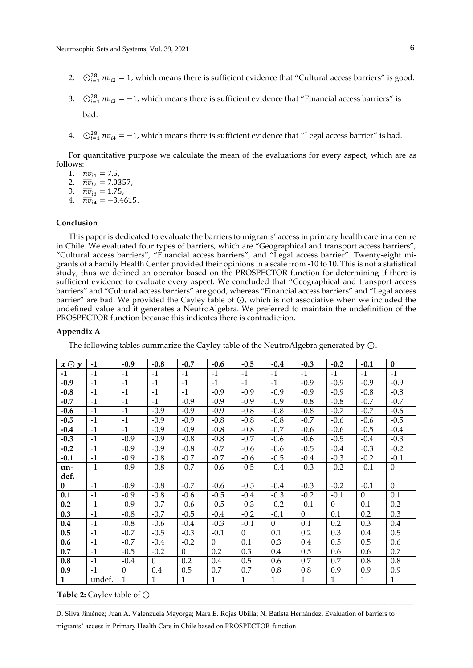- 2.  $\bigcirc_{i=1}^{28} nv_{i2} = 1$ , which means there is sufficient evidence that "Cultural access barriers" is good.
- 3.  $\bigcirc_{i=1}^{28} nv_{i3} = -1$ , which means there is sufficient evidence that "Financial access barriers" is bad.
- 4.  $\bigcirc_{i=1}^{28} n v_{i4} = -1$ , which means there is sufficient evidence that "Legal access barrier" is bad.

For quantitative purpose we calculate the mean of the evaluations for every aspect, which are as follows:

- 1.  $\overline{n}v_{i1} = 7.5$ ,
- 2.  $\overline{n}v_{i2} = 7.0357$ ,
- 3.  $\overline{n}v_{i3} = 1.75$ , 4.  $\overline{nv}_{i4} = -3.4615$ .

## **Conclusion**

This paper is dedicated to evaluate the barriers to migrants' access in primary health care in a centre in Chile. We evaluated four types of barriers, which are "Geographical and transport access barriers", "Cultural access barriers", "Financial access barriers", and "Legal access barrier". Twenty-eight migrants of a Family Health Center provided their opinions in a scale from -10 to 10. This is not a statistical study, thus we defined an operator based on the PROSPECTOR function for determining if there is sufficient evidence to evaluate every aspect. We concluded that "Geographical and transport access barriers" and "Cultural access barriers" are good, whereas "Financial access barriers" and "Legal access barrier" are bad. We provided the Cayley table of ⊙, which is not associative when we included the undefined value and it generates a NeutroAlgebra. We preferred to maintain the undefinition of the PROSPECTOR function because this indicates there is contradiction.

#### **Appendix A**

The following tables summarize the Cayley table of the NeutroAlgebra generated by ⊙.

| $x \odot y$ | $-1$   | $-0.9$   | $-0.8$   | $-0.7$   | $-0.6$       | $-0.5$   | $-0.4$   | $-0.3$   | $-0.2$   | $-0.1$   | $\bf{0}$       |
|-------------|--------|----------|----------|----------|--------------|----------|----------|----------|----------|----------|----------------|
| $-1$        | $-1$   | $-1$     | $-1$     | $-1$     | $-1$         | $-1$     | $-1$     | $-1$     | $-1$     | $-1$     | $-1$           |
| $-0.9$      | $-1$   | $-1$     | $-1$     | $-1$     | $-1$         | $-1$     | $-1$     | $-0.9$   | $-0.9$   | $-0.9$   | $-0.9$         |
| $-0.8$      | $-1$   | $-1$     | $-1$     | $-1$     | $-0.9$       | $-0.9$   | $-0.9$   | $-0.9$   | $-0.9$   | $-0.8$   | $-0.8$         |
| $-0.7$      | $-1$   | $-1$     | $-1$     | $-0.9$   | $-0.9$       | $-0.9$   | $-0.9$   | $-0.8$   | $-0.8$   | $-0.7$   | $-0.7$         |
| $-0.6$      | $-1$   | $-1$     | $-0.9$   | $-0.9$   | $-0.9$       | $-0.8$   | $-0.8$   | $-0.8$   | $-0.7$   | $-0.7$   | $-0.6$         |
| $-0.5$      | $-1$   | $-1$     | $-0.9$   | $-0.9$   | $-0.8$       | $-0.8$   | $-0.8$   | $-0.7$   | $-0.6$   | $-0.6$   | $-0.5$         |
| $-0.4$      | $-1$   | $-1$     | $-0.9$   | $-0.9$   | $-0.8$       | $-0.8$   | $-0.7$   | $-0.6$   | $-0.6$   | $-0.5$   | $-0.4$         |
| $-0.3$      | $-1$   | $-0.9$   | $-0.9$   | $-0.8$   | $-0.8$       | $-0.7$   | $-0.6$   | $-0.6$   | $-0.5$   | $-0.4$   | $-0.3$         |
| $-0.2$      | $-1$   | $-0.9$   | $-0.9$   | $-0.8$   | $-0.7$       | $-0.6$   | $-0.6$   | $-0.5$   | $-0.4$   | $-0.3$   | $-0.2$         |
| $-0.1$      | $-1$   | $-0.9$   | $-0.8$   | $-0.7$   | $-0.7$       | $-0.6$   | $-0.5$   | $-0.4$   | $-0.3$   | $-0.2$   | $-0.1$         |
| un-         | $-1$   | $-0.9$   | $-0.8$   | $-0.7$   | $-0.6$       | $-0.5$   | $-0.4$   | $-0.3$   | $-0.2$   | $-0.1$   | $\overline{0}$ |
| def.        |        |          |          |          |              |          |          |          |          |          |                |
| $\bf{0}$    | $-1$   | $-0.9$   | $-0.8$   | $-0.7$   | $-0.6$       | $-0.5$   | $-0.4$   | $-0.3$   | $-0.2$   | $-0.1$   | $\Omega$       |
| 0.1         | $-1$   | $-0.9$   | $-0.8$   | $-0.6$   | $-0.5$       | $-0.4$   | $-0.3$   | $-0.2$   | $-0.1$   | $\theta$ | 0.1            |
| 0.2         | $-1$   | $-0.9$   | $-0.7$   | $-0.6$   | $-0.5$       | $-0.3$   | $-0.2$   | $-0.1$   | $\Omega$ | 0.1      | 0.2            |
| 0.3         | $-1$   | $-0.8$   | $-0.7$   | $-0.5$   | $-0.4$       | $-0.2$   | $-0.1$   | $\Omega$ | 0.1      | 0.2      | 0.3            |
| $0.4\,$     | $-1$   | $-0.8$   | $-0.6$   | $-0.4$   | $-0.3$       | $-0.1$   | $\Omega$ | 0.1      | 0.2      | 0.3      | 0.4            |
| 0.5         | $-1$   | $-0.7$   | $-0.5$   | $-0.3$   | $-0.1$       | $\Omega$ | 0.1      | 0.2      | 0.3      | 0.4      | 0.5            |
| 0.6         | $-1$   | $-0.7$   | $-0.4$   | $-0.2$   | $\Omega$     | 0.1      | 0.3      | 0.4      | 0.5      | 0.5      | 0.6            |
| 0.7         | $-1$   | $-0.5$   | $-0.2$   | $\Omega$ | 0.2          | 0.3      | 0.4      | 0.5      | 0.6      | 0.6      | 0.7            |
| 0.8         | $-1$   | $-0.4$   | $\Omega$ | 0.2      | 0.4          | 0.5      | 0.6      | 0.7      | 0.7      | 0.8      | 0.8            |
| 0.9         | $-1$   | $\theta$ | 0.4      | 0.5      | 0.7          | 0.7      | 0.8      | 0.8      | 0.9      | 0.9      | 0.9            |
| 1           | undef. | 1        | 1        | 1        | $\mathbf{1}$ | 1        | 1        | 1        | 1        | 1        | 1              |

#### $\frac{1}{2}$  ,  $\frac{1}{2}$  ,  $\frac{1}{2}$  ,  $\frac{1}{2}$  ,  $\frac{1}{2}$  ,  $\frac{1}{2}$  ,  $\frac{1}{2}$  ,  $\frac{1}{2}$  ,  $\frac{1}{2}$  ,  $\frac{1}{2}$  ,  $\frac{1}{2}$  ,  $\frac{1}{2}$  ,  $\frac{1}{2}$  ,  $\frac{1}{2}$  ,  $\frac{1}{2}$  ,  $\frac{1}{2}$  ,  $\frac{1}{2}$  ,  $\frac{1}{2}$  ,  $\frac{1$ **Table 2:** Cayley table of ⊙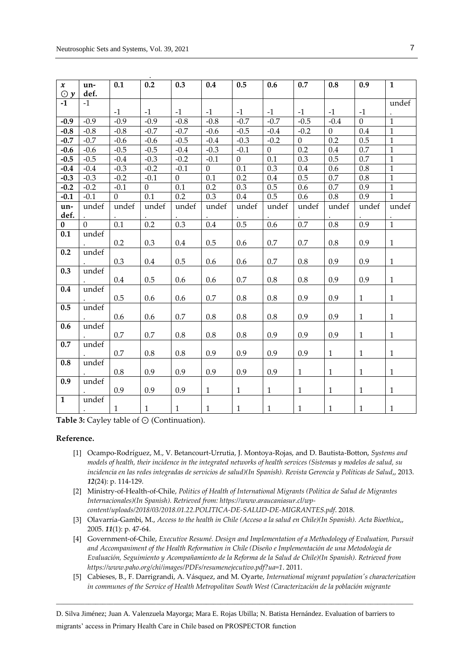|                           |              | 0.1              | $\overline{0.2}$ | 0.3            | 0.4          | 0.5              | 0.6              | 0.7            | 0.8          | 0.9          | $\mathbf{1}$ |
|---------------------------|--------------|------------------|------------------|----------------|--------------|------------------|------------------|----------------|--------------|--------------|--------------|
| $\pmb{\chi}$<br>$\odot y$ | un-<br>def.  |                  |                  |                |              |                  |                  |                |              |              |              |
| $-1$                      | $-1$         |                  |                  |                |              |                  |                  |                |              |              | undef        |
|                           |              | $-1$             | $-1$             | $-1$           | $-1$         | $-1$             | $-1$             | $-1$           | $-1$         | $-1$         |              |
| $-0.9$                    | $-0.9$       | $-0.9$           | $-0.9$           | $-0.8$         | $-0.8$       | $-0.7$           | $-0.7$           | $-0.5$         | $-0.4$       | $\mathbf{0}$ | $\mathbf{1}$ |
| $-0.8$                    | $-0.8$       | $-0.8$           | $-0.7$           | $-0.7$         | $-0.6$       | $-0.5$           | $-0.4$           | $-0.2$         | $\mathbf{0}$ | 0.4          | $\mathbf{1}$ |
| $-0.7$                    | $-0.7$       | $-0.6$           | $-0.6$           | $-0.5$         | $-0.4$       | $-0.3$           | $-0.2$           | $\overline{0}$ | 0.2          | 0.5          | $\mathbf{1}$ |
| $-0.6$                    | $-0.6$       | $-0.5$           | $-0.5$           | $-0.4$         | $-0.3$       | $-0.1$           | $\boldsymbol{0}$ | 0.2            | 0.4          | 0.7          | $\mathbf 1$  |
| $-0.5$                    | $-0.5$       | $-0.4$           | $-0.3$           | $-0.2$         | $-0.1$       | $\boldsymbol{0}$ | 0.1              | 0.3            | 0.5          | 0.7          | $\mathbf{1}$ |
| $-0.4$                    | $-0.4$       | $-0.3$           | $-0.2$           | $-0.1$         | $\mathbf{0}$ | 0.1              | 0.3              | 0.4            | 0.6          | 0.8          | $\mathbf{1}$ |
| $-0.3$                    | $-0.3$       | $-0.2$           | $-0.1$           | $\overline{0}$ | 0.1          | $0.2\,$          | 0.4              | 0.5            | $0.7\,$      | $0.8\,$      | $\mathbf{1}$ |
| $-0.2$                    | $-0.2$       | $-0.1$           | $\boldsymbol{0}$ | $0.1\,$        | 0.2          | 0.3              | 0.5              | 0.6            | $0.7\,$      | 0.9          | $\mathbf 1$  |
| $-0.1$                    | $-0.1$       | $\boldsymbol{0}$ | 0.1              | 0.2            | 0.3          | 0.4              | 0.5              | 0.6            | $0.8\,$      | 0.9          | $\mathbf 1$  |
| un-                       | undef        | undef            | undef            | undef          | undef        | undef            | undef            | undef          | undef        | undef        | undef        |
| def.                      |              |                  |                  |                |              |                  |                  |                |              |              |              |
| 0                         | $\mathbf{0}$ | 0.1              | 0.2              | 0.3            | 0.4          | 0.5              | 0.6              | 0.7            | $0.8\,$      | 0.9          | $\mathbf 1$  |
| 0.1                       | undef        |                  |                  |                |              |                  |                  |                |              |              |              |
|                           |              | 0.2              | 0.3              | 0.4            | 0.5          | 0.6              | 0.7              | 0.7            | 0.8          | 0.9          | $\mathbf{1}$ |
| 0.2                       | undef        | 0.3              | 0.4              | 0.5            | 0.6          | 0.6              | 0.7              | 0.8            | 0.9          | 0.9          | $\mathbf{1}$ |
| 0.3                       | undef        |                  |                  |                |              |                  |                  |                |              |              |              |
|                           |              | 0.4              | 0.5              | 0.6            | 0.6          | 0.7              | 0.8              | 0.8            | 0.9          | 0.9          | $\mathbf{1}$ |
| 0.4                       | undef        |                  |                  |                |              |                  |                  |                |              |              |              |
|                           |              | 0.5              | 0.6              | 0.6            | 0.7          | $0.8\,$          | 0.8              | 0.9            | 0.9          | $\mathbf{1}$ | 1            |
| 0.5                       | undef        |                  |                  |                |              |                  |                  |                |              |              |              |
|                           |              | 0.6              | 0.6              | 0.7            | 0.8          | $0.8\,$          | $0.8\,$          | 0.9            | 0.9          | $\mathbf{1}$ | $\mathbf{1}$ |
| 0.6                       | undef        |                  |                  |                |              |                  |                  |                |              |              |              |
|                           |              | 0.7              | 0.7              | 0.8            | 0.8          | $0.8\,$          | 0.9              | 0.9            | 0.9          | $\mathbf{1}$ | 1            |
| 0.7                       | undef        |                  |                  |                |              |                  |                  |                |              |              |              |
|                           |              | 0.7              | $0.8\,$          | 0.8            | 0.9          | 0.9              | 0.9              | 0.9            | $\mathbf{1}$ | $\mathbf{1}$ | $\mathbf{1}$ |
| 0.8                       | undef        |                  |                  |                |              |                  |                  |                |              |              |              |
| 0.9                       |              | $0.8\,$          | 0.9              | 0.9            | 0.9          | 0.9              | 0.9              | $\mathbf{1}$   | $\mathbf{1}$ | $\mathbf{1}$ | 1            |
|                           | undef        | 0.9              | 0.9              | 0.9            | $\mathbf{1}$ | $\mathbf{1}$     | $\mathbf{1}$     | $\mathbf{1}$   | $\mathbf{1}$ | $\mathbf{1}$ | $\mathbf{1}$ |
| $\overline{1}$            | undef        |                  |                  |                |              |                  |                  |                |              |              |              |
|                           | $\bullet$    | $\mathbf{1}$     | $\mathbf{1}$     | $\mathbf{1}$   | $\mathbf{1}$ | $\mathbf{1}$     | $\mathbf{1}$     | $\mathbf{1}$   | $\mathbf{1}$ | $\mathbf{1}$ | 1            |

**Table 3:** Cayley table of ⊙ (Continuation).

## **Reference.**

- <span id="page-6-0"></span>[1] Ocampo-Rodríguez, M., V. Betancourt-Urrutia, J. Montoya-Rojas, and D. Bautista-Botton, *Systems and models of health, their incidence in the integrated networks of health services (Sistemas y modelos de salud, su incidencia en las redes integradas de servicios de salud)(In Spanish). Revista Gerencia y Políticas de Salud*,, 2013. *12*(24): p. 114-129.
- <span id="page-6-1"></span>[2] Ministry-of-Health-of-Chile, *Politics of Health of International Migrants (Política de Salud de Migrantes Internacionales)(In Spanish). Retrieved from: https:/[/www.araucaniasur.cl/wp](http://www.araucaniasur.cl/wp-content/uploads/2018/03/2018.01.22.POLITICA-DE-SALUD-DE-MIGRANTES.pdf)[content/uploads/2018/03/2018.01.22.POLITICA-DE-SALUD-DE-MIGRANTES.pdf](http://www.araucaniasur.cl/wp-content/uploads/2018/03/2018.01.22.POLITICA-DE-SALUD-DE-MIGRANTES.pdf)*. 2018.
- <span id="page-6-2"></span>[3] Olavarría-Gambi, M., *Access to the health in Chile (Acceso a la salud en Chile)(In Spanish). Acta Bioethica*,, 2005. *11*(1): p. 47-64.
- <span id="page-6-3"></span>[4] Government-of-Chile, *Executive Resumé. Design and Implementation of a Methodology of Evaluation, Pursuit and Accompaniment of the Health Reformation in Chile (Diseño e Implementación de una Metodología de Evaluación, Seguimiento y Acompañamiento de la Reforma de la Salud de Chile)(In Spanish). Retrieved from https:/[/www.paho.org/chi/images/PDFs/resumenejecutivo.pdf?ua=1](http://www.paho.org/chi/images/PDFs/resumenejecutivo.pdf?ua=1)*. 2011.
- <span id="page-6-4"></span>[5] Cabieses, B., F. Darrigrandi, A. Vásquez, and M. Oyarte, *International migrant population's characterization in communes of the Service of Health Metropolitan South West (Caracterización de la población migrante*

D. Silva Jiménez; Juan A. Valenzuela Mayorga; Mara E. Rojas Ubilla; N. Batista Hernández. Evaluation of barriers to migrants' access in Primary Health Care in Chile based on PROSPECTOR function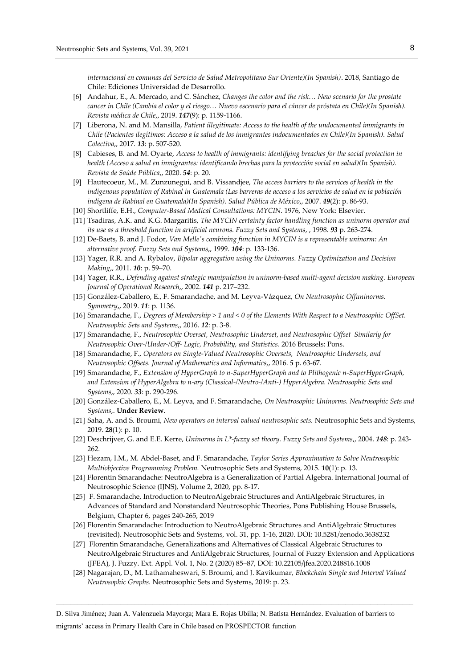*internacional en comunas del Servicio de Salud Metropolitano Sur Oriente)(In Spanish)*. 2018, Santiago de Chile: Ediciones Universidad de Desarrollo.

- <span id="page-7-0"></span>[6] Andahur, E., A. Mercado, and C. Sánchez, *Changes the color and the risk… New scenario for the prostate cancer in Chile (Cambia el color y el riesgo… Nuevo escenario para el cáncer de próstata en Chile)(In Spanish). Revista médica de Chile*,, 2019. *147*(9): p. 1159-1166.
- <span id="page-7-1"></span>[7] Liberona, N. and M. Mansilla, *Patient illegitimate: Access to the health of the undocumented immigrants in Chile (Pacientes ilegítimos: Acceso a la salud de los inmigrantes indocumentados en Chile)(In Spanish). Salud Colectiva*,, 2017. *13*: p. 507-520.
- <span id="page-7-2"></span>[8] Cabieses, B. and M. Oyarte, *Access to health of immigrants: identifying breaches for the social protection in health (Acceso a salud en inmigrantes: identificando brechas para la protección social en salud)(In Spanish). Revista de Saúde Pública*,, 2020. *54*: p. 20.
- <span id="page-7-3"></span>[9] Hautecoeur, M., M. Zunzunegui, and B. Vissandjee, *The access barriers to the services of health in the indigenous population of Rabinal in Guatemala (Las barreras de acceso a los servicios de salud en la población indígena de Rabinal en Guatemala)(In Spanish). Salud Pública de México*,, 2007. *49*(2): p. 86-93.
- <span id="page-7-4"></span>[10] Shortliffe, E.H., *Computer-Based Medical Consultations: MYCIN*. 1976, New York: Elsevier.
- [11] Tsadiras, A.K. and K.G. Margaritis, *The MYCIN certainty factor handling function as uninorm operator and its use as a threshold function in artificial neurons. Fuzzy Sets and Systems*, , 1998. *93* p. 263-274.
- <span id="page-7-6"></span>[12] De-Baets, B. and J. Fodor, *Van Melle's combining function in MYCIN is a representable uninorm: An alternative proof. Fuzzy Sets and Systems*,, 1999. *104*: p. 133-136.
- <span id="page-7-5"></span>[13] Yager, R.R. and A. Rybalov, *Bipolar aggregation using the Uninorms. Fuzzy Optimization and Decision Making*,, 2011. *10*: p. 59–70.
- [14] Yager, R.R., *Defending against strategic manipulation in uninorm-based multi-agent decision making. European Journal of Operational Research*,, 2002. *141* p. 217–232.
- <span id="page-7-7"></span>[15] González-Caballero, E., F. Smarandache, and M. Leyva-Vázquez, *On Neutrosophic Offuninorms. Symmetry*,, 2019. *11*: p. 1136.
- <span id="page-7-8"></span>[16] Smarandache, F., *Degrees of Membership > 1 and < 0 of the Elements With Respect to a Neutrosophic OffSet. Neutrosophic Sets and Systems*,, 2016. *12*: p. 3-8.
- [17] Smarandache, F., *Neutrosophic Overset, Neutrosophic Underset, and Neutrosophic Offset Similarly for Neutrosophic Over-/Under-/Off- Logic, Probability, and Statistics*. 2016 Brussels: Pons.
- [18] Smarandache, F., *Operators on Single-Valued Neutrosophic Oversets, Neutrosophic Undersets, and Neutrosophic Offsets. Journal of Mathematics and Informatics*,, 2016. *5* p. 63-67.
- [19] Smarandache, F., *Extension of HyperGraph to n-SuperHyperGraph and to Plithogenic n-SuperHyperGraph, and Extension of HyperAlgebra to n-ary (Classical-/Neutro-/Anti-) HyperAlgebra. Neutrosophic Sets and Systems*,, 2020. *33*: p. 290-296.
- <span id="page-7-9"></span>[20] González-Caballero, E., M. Leyva, and F. Smarandache, *On Neutrosophic Uninorms. Neutrosophic Sets and Systems*,. **Under Review**.
- <span id="page-7-10"></span>[21] Saha, A. and S. Broumi, *New operators on interval valued neutrosophic sets.* Neutrosophic Sets and Systems, 2019. **28**(1): p. 10.
- <span id="page-7-11"></span>[22] Deschrijver, G. and E.E. Kerre, *Uninorms in L\*-fuzzy set theory. Fuzzy Sets and Systems*,, 2004. *148*: p. 243- 262.
- [23] Hezam, I.M., M. Abdel-Baset, and F. Smarandache, *Taylor Series Approximation to Solve Neutrosophic Multiobjective Programming Problem.* Neutrosophic Sets and Systems, 2015. **10**(1): p. 13.
- [24] Florentin Smarandache: NeutroAlgebra is a Generalization of Partial Algebra. International Journal of Neutrosophic Science (IJNS), Volume 2, 2020, pp. 8-17.
- [25] F. Smarandache, Introduction to NeutroAlgebraic Structures and AntiAlgebraic Structures, in Advances of Standard and Nonstandard Neutrosophic Theories, Pons Publishing House Brussels, Belgium, Chapter 6, pages 240-265, 2019
- [26] Florentin Smarandache: Introduction to NeutroAlgebraic Structures and AntiAlgebraic Structures (revisited). Neutrosophic Sets and Systems, vol. 31, pp. 1-16, 2020. DOI: 10.5281/zenodo.3638232
- [27] Florentin Smarandache, Generalizations and Alternatives of Classical Algebraic Structures to NeutroAlgebraic Structures and AntiAlgebraic Structures, Journal of Fuzzy Extension and Applications (JFEA), J. Fuzzy. Ext. Appl. Vol. 1, No. 2 (2020) 85–87, DOI: 10.22105/jfea.2020.248816.1008
- [28] Nagarajan, D., M. Lathamaheswari, S. Broumi, and J. Kavikumar, *Blockchain Single and Interval Valued Neutrosophic Graphs.* Neutrosophic Sets and Systems, 2019: p. 23.

\_\_\_\_\_\_\_\_\_\_\_\_\_\_\_\_\_\_\_\_\_\_\_\_\_\_\_\_\_\_\_\_\_\_\_\_\_\_\_\_\_\_\_\_\_\_\_\_\_\_\_\_\_\_\_\_\_\_\_\_\_\_\_\_\_\_\_\_\_\_\_\_\_\_\_\_\_\_\_\_\_\_\_\_\_\_\_\_\_\_\_\_\_\_\_\_\_\_\_\_